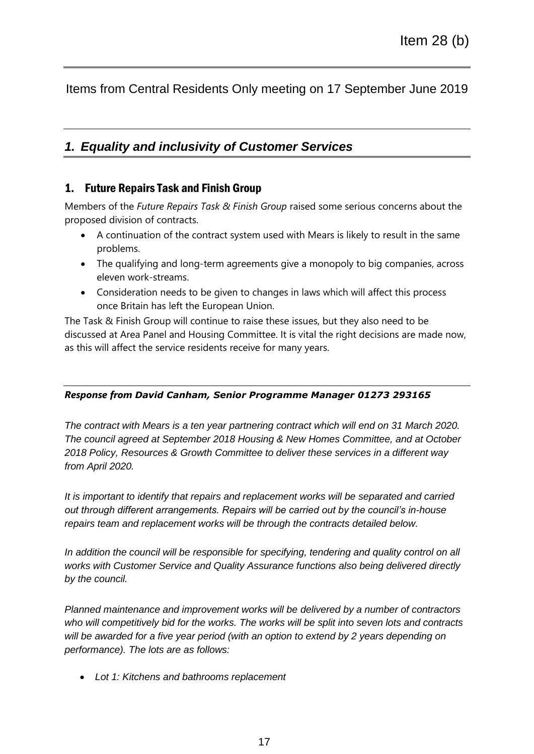Items from Central Residents Only meeting on 17 September June 2019

## *1. Equality and inclusivity of Customer Services*

## 1. Future Repairs Task and Finish Group

Members of the *Future Repairs Task & Finish Group* raised some serious concerns about the proposed division of contracts.

- A continuation of the contract system used with Mears is likely to result in the same problems.
- The qualifying and long-term agreements give a monopoly to big companies, across eleven work-streams.
- Consideration needs to be given to changes in laws which will affect this process once Britain has left the European Union.

The Task & Finish Group will continue to raise these issues, but they also need to be discussed at Area Panel and Housing Committee. It is vital the right decisions are made now, as this will affect the service residents receive for many years.

## *Response from David Canham, Senior Programme Manager 01273 293165*

*The contract with Mears is a ten year partnering contract which will end on 31 March 2020. The council agreed at September 2018 Housing & New Homes Committee, and at October 2018 Policy, Resources & Growth Committee to deliver these services in a different way from April 2020.*

*It is important to identify that repairs and replacement works will be separated and carried out through different arrangements. Repairs will be carried out by the council's in-house repairs team and replacement works will be through the contracts detailed below.*

In addition the council will be responsible for specifying, tendering and quality control on all *works with Customer Service and Quality Assurance functions also being delivered directly by the council.*

*Planned maintenance and improvement works will be delivered by a number of contractors who will competitively bid for the works. The works will be split into seven lots and contracts will be awarded for a five year period (with an option to extend by 2 years depending on performance). The lots are as follows:*

*Lot 1: Kitchens and bathrooms replacement*